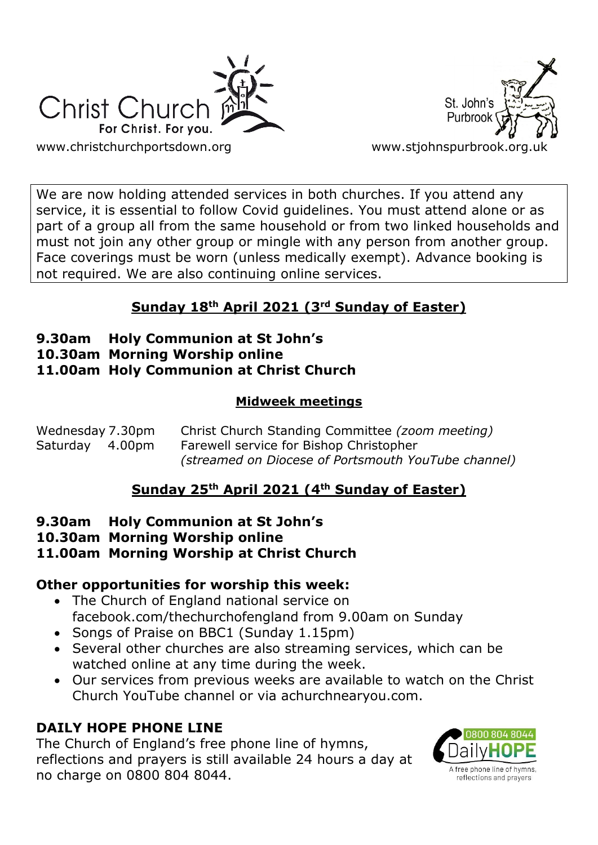



We are now holding attended services in both churches. If you attend any service, it is essential to follow Covid guidelines. You must attend alone or as part of a group all from the same household or from two linked households and must not join any other group or mingle with any person from another group. Face coverings must be worn (unless medically exempt). Advance booking is not required. We are also continuing online services.

# **Sunday 18th April 2021 (3rd Sunday of Easter)**

## **9.30am Holy Communion at St John's**

- **10.30am Morning Worship online**
- **11.00am Holy Communion at Christ Church**

#### **Midweek meetings**

| Wednesday 7.30pm | Christ Church Standing Committee (zoom meeting)     |
|------------------|-----------------------------------------------------|
| Saturday 4.00pm  | Farewell service for Bishop Christopher             |
|                  | (streamed on Diocese of Portsmouth YouTube channel) |

## **Sunday 25th April 2021 (4th Sunday of Easter)**

#### **9.30am Holy Communion at St John's**

**10.30am Morning Worship online**

## **11.00am Morning Worship at Christ Church**

## **Other opportunities for worship this week:**

- The Church of England national service on facebook.com/thechurchofengland from 9.00am on Sunday
- Songs of Praise on BBC1 (Sunday 1.15pm)
- Several other churches are also streaming services, which can be watched online at any time during the week.
- Our services from previous weeks are available to watch on the Christ Church YouTube channel or via achurchnearyou.com.

## **DAILY HOPE PHONE LINE**

The Church of England's free phone line of hymns, reflections and prayers is still available 24 hours a day at no charge on 0800 804 8044.

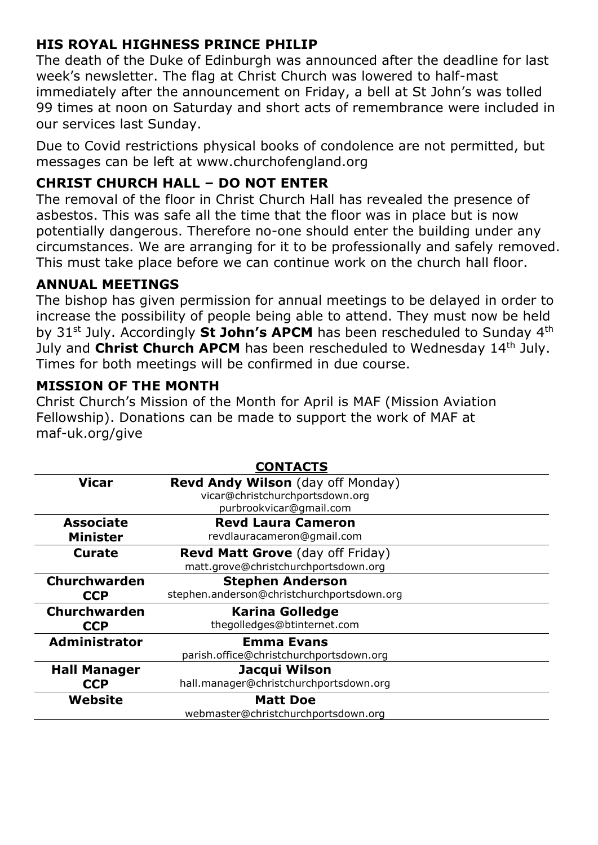## **HIS ROYAL HIGHNESS PRINCE PHILIP**

The death of the Duke of Edinburgh was announced after the deadline for last week's newsletter. The flag at Christ Church was lowered to half-mast immediately after the announcement on Friday, a bell at St John's was tolled 99 times at noon on Saturday and short acts of remembrance were included in our services last Sunday.

Due to Covid restrictions physical books of condolence are not permitted, but messages can be left at www.churchofengland.org

## **CHRIST CHURCH HALL – DO NOT ENTER**

The removal of the floor in Christ Church Hall has revealed the presence of asbestos. This was safe all the time that the floor was in place but is now potentially dangerous. Therefore no-one should enter the building under any circumstances. We are arranging for it to be professionally and safely removed. This must take place before we can continue work on the church hall floor.

## **ANNUAL MEETINGS**

The bishop has given permission for annual meetings to be delayed in order to increase the possibility of people being able to attend. They must now be held by 31<sup>st</sup> July. Accordingly St John's APCM has been rescheduled to Sunday 4<sup>th</sup> July and **Christ Church APCM** has been rescheduled to Wednesday 14<sup>th</sup> July. Times for both meetings will be confirmed in due course.

#### **MISSION OF THE MONTH**

Christ Church's Mission of the Month for April is MAF (Mission Aviation Fellowship). Donations can be made to support the work of MAF at maf-uk.org/give

|                      | <b>CONTACTS</b>                            |
|----------------------|--------------------------------------------|
| <b>Vicar</b>         | <b>Revd Andy Wilson</b> (day off Monday)   |
|                      | vicar@christchurchportsdown.org            |
|                      | purbrookvicar@gmail.com                    |
| <b>Associate</b>     | <b>Revd Laura Cameron</b>                  |
| <b>Minister</b>      | revdlauracameron@gmail.com                 |
| <b>Curate</b>        | <b>Revd Matt Grove</b> (day off Friday)    |
|                      | matt.grove@christchurchportsdown.org       |
| Churchwarden         | <b>Stephen Anderson</b>                    |
| <b>CCP</b>           | stephen.anderson@christchurchportsdown.org |
| <b>Churchwarden</b>  | <b>Karina Golledge</b>                     |
| <b>CCP</b>           | thegolledges@btinternet.com                |
| <b>Administrator</b> | <b>Emma Evans</b>                          |
|                      | parish.office@christchurchportsdown.org    |
| <b>Hall Manager</b>  | Jacqui Wilson                              |
| <b>CCP</b>           | hall.manager@christchurchportsdown.org     |
| Website              | <b>Matt Doe</b>                            |
|                      | webmaster@christchurchportsdown.org        |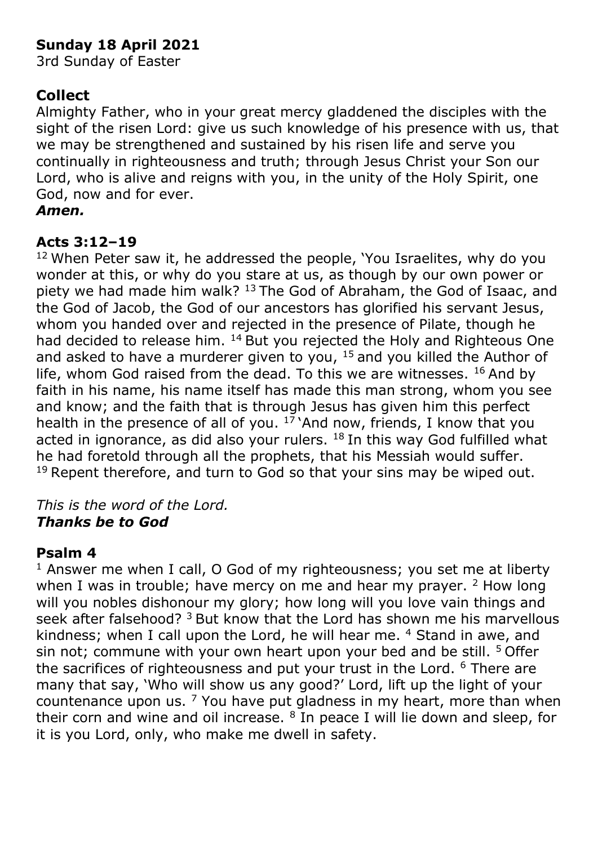## **Sunday 18 April 2021**

3rd Sunday of Easter

## **Collect**

Almighty Father, who in your great mercy gladdened the disciples with the sight of the risen Lord: give us such knowledge of his presence with us, that we may be strengthened and sustained by his risen life and serve you continually in righteousness and truth; through Jesus Christ your Son our Lord, who is alive and reigns with you, in the unity of the Holy Spirit, one God, now and for ever.

## *Amen.*

## **Acts 3:12–19**

<sup>12</sup> When Peter saw it, he addressed the people, 'You Israelites, why do you wonder at this, or why do you stare at us, as though by our own power or piety we had made him walk? <sup>13</sup> The God of Abraham, the God of Isaac, and the God of Jacob, the God of our ancestors has glorified his servant Jesus, whom you handed over and rejected in the presence of Pilate, though he had decided to release him.  $14$  But you rejected the Holy and Righteous One and asked to have a murderer given to you,  $15$  and you killed the Author of life, whom God raised from the dead. To this we are witnesses.  $16$  And by faith in his name, his name itself has made this man strong, whom you see and know; and the faith that is through Jesus has given him this perfect health in the presence of all of you.  $17$  And now, friends, I know that you acted in ignorance, as did also your rulers.  $18$  In this way God fulfilled what he had foretold through all the prophets, that his Messiah would suffer.  $19$  Repent therefore, and turn to God so that your sins may be wiped out.

#### *This is the word of the Lord. Thanks be to God*

## **Psalm 4**

 $1$  Answer me when I call, O God of my righteousness; you set me at liberty when I was in trouble; have mercy on me and hear my prayer.  $2$  How long will you nobles dishonour my glory; how long will you love vain things and seek after falsehood? <sup>3</sup> But know that the Lord has shown me his marvellous kindness; when I call upon the Lord, he will hear me. <sup>4</sup> Stand in awe, and sin not; commune with your own heart upon your bed and be still. <sup>5</sup> Offer the sacrifices of righteousness and put your trust in the Lord. <sup>6</sup> There are many that say, 'Who will show us any good?' Lord, lift up the light of your countenance upon us.  $7$  You have put gladness in my heart, more than when their corn and wine and oil increase.  $8$  In peace I will lie down and sleep, for it is you Lord, only, who make me dwell in safety.